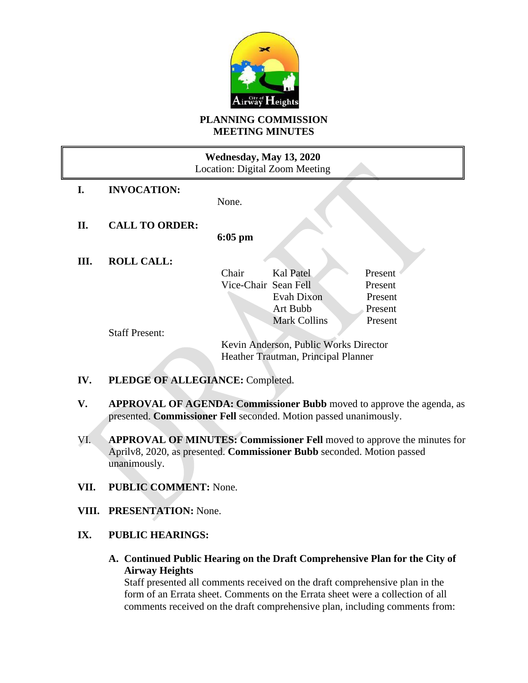

#### **PLANNING COMMISSION MEETING MINUTES**

## **Wednesday, May 13, 2020** Location: Digital Zoom Meeting

**I. INVOCATION:**

None.

**II. CALL TO ORDER:**

**6:05 pm**

**III. ROLL CALL:**

Chair Kal Patel Present Vice-Chair Sean Fell Present Evah Dixon Present Art Bubb Present Mark Collins Present

Staff Present:

Kevin Anderson, Public Works Director Heather Trautman, Principal Planner

- **IV. PLEDGE OF ALLEGIANCE:** Completed.
- **V. APPROVAL OF AGENDA: Commissioner Bubb** moved to approve the agenda, as presented. **Commissioner Fell** seconded. Motion passed unanimously.
- VI. **APPROVAL OF MINUTES: Commissioner Fell** moved to approve the minutes for Aprilv8, 2020, as presented. **Commissioner Bubb** seconded. Motion passed unanimously.
- **VII. PUBLIC COMMENT:** None.
- **VIII. PRESENTATION:** None.

# **IX. PUBLIC HEARINGS:**

**A. Continued Public Hearing on the Draft Comprehensive Plan for the City of Airway Heights** 

Staff presented all comments received on the draft comprehensive plan in the form of an Errata sheet. Comments on the Errata sheet were a collection of all comments received on the draft comprehensive plan, including comments from: